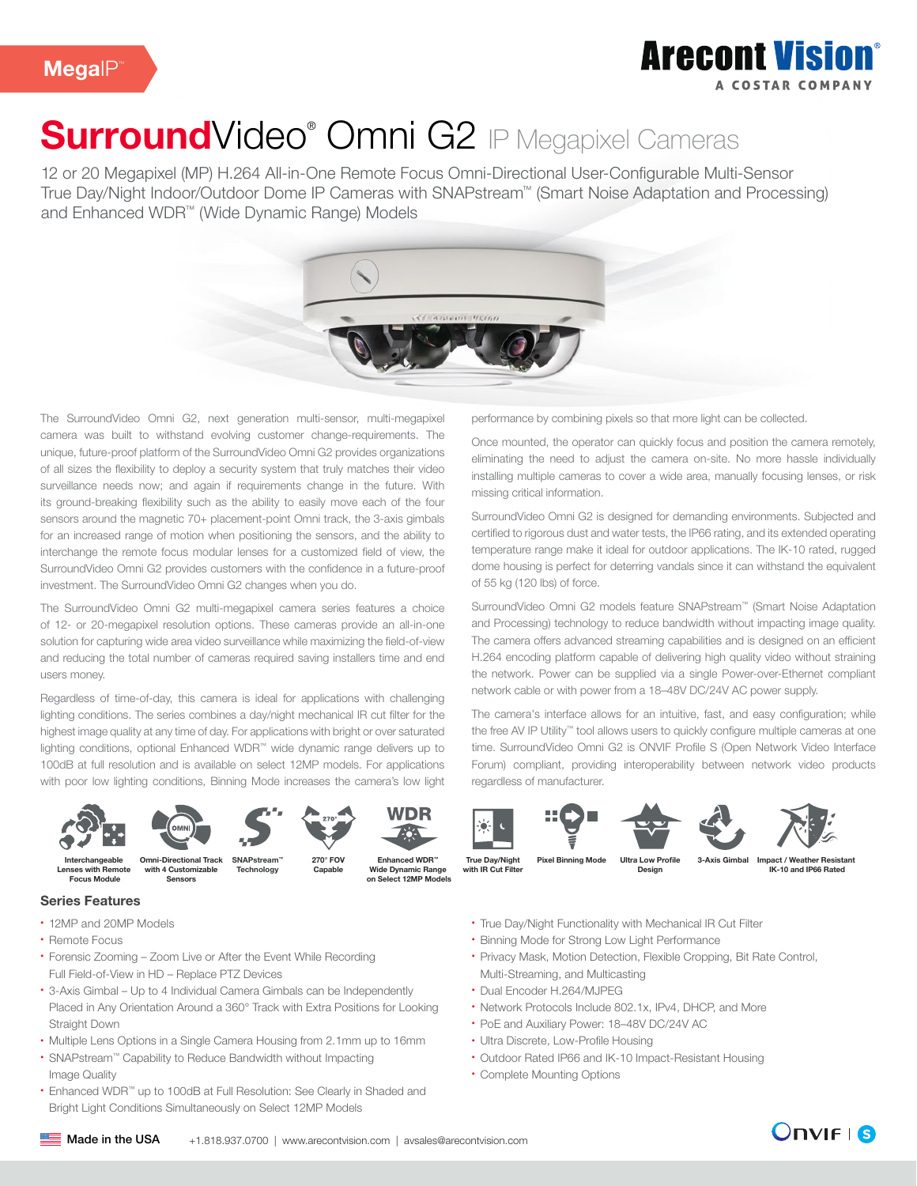

# SurroundVideo<sup>®</sup> Omni G2 IP Megapixel Cameras

12 or 20 Megapixel (MP) H.264 All-in-One Remote Focus Omni-Directional User-Configurable Multi-Sensor True Day/Night Indoor/Outdoor Dome IP Cameras with SNAPstream™ (Smart Noise Adaptation and Processing) and Enhanced WDR™ (Wide Dynamic Range) Models



The SurroundVideo Omni G2, next generation multi-sensor, multi-megapixel camera was built to withstand evolving customer change-requirements. The unique, future-proof platform of the SurroundVideo Omni G2 provides organizations of all sizes the flexibility to deploy a security system that truly matches their video surveillance needs now; and again if requirements change in the future. With its ground-breaking flexibility such as the ability to easily move each of the four sensors around the magnetic 70+ placement-point Omni track, the 3-axis gimbals for an increased range of motion when positioning the sensors, and the ability to interchange the remote focus modular lenses for a customized field of view, the SurroundVideo Omni G2 provides customers with the confidence in a future-proof investment. The SurroundVideo Omni G2 changes when you do.

The SurroundVideo Omni G2 multi-megapixel camera series features a choice of 12- or 20-megapixel resolution options. These cameras provide an all-in-one solution for capturing wide area video surveillance while maximizing the field-of-view and reducing the total number of cameras required saving installers time and end users money.

Regardless of time-of-day, this camera is ideal for applications with challenging lighting conditions. The series combines a day/night mechanical IR cut filter for the highest image quality at any time of day. For applications with bright or over saturated lighting conditions, optional Enhanced WDR™ wide dynamic range delivers up to 100dB at full resolution and is available on select 12MP models. For applications with poor low lighting conditions, Binning Mode increases the camera's low light











Omni-Directional Track with 4 Customizable Sensors Interchangeable Lenses with Remote Focus Module

**Technology** 

Wide Dynamic Range on Select 12MP Models 270° FOV Capable

### Series Features

- 12MP and 20MP Models
- Remote Focus
- Forensic Zooming Zoom Live or After the Event While Recording Full Field-of-View in HD – Replace PTZ Devices
- 3-Axis Gimbal Up to 4 Individual Camera Gimbals can be Independently Placed in Any Orientation Around a 360° Track with Extra Positions for Looking Straight Down
- Multiple Lens Options in a Single Camera Housing from 2.1mm up to 16mm
- SNAPstream™ Capability to Reduce Bandwidth without Impacting Image Quality
- Enhanced WDR™ up to 100dB at Full Resolution: See Clearly in Shaded and Bright Light Conditions Simultaneously on Select 12MP Models

performance by combining pixels so that more light can be collected.

Once mounted, the operator can quickly focus and position the camera remotely, eliminating the need to adjust the camera on-site. No more hassle individually installing multiple cameras to cover a wide area, manually focusing lenses, or risk missing critical information.

SurroundVideo Omni G2 is designed for demanding environments. Subjected and certified to rigorous dust and water tests, the IP66 rating, and its extended operating temperature range make it ideal for outdoor applications. The IK-10 rated, rugged dome housing is perfect for deterring vandals since it can withstand the equivalent of 55 kg (120 lbs) of force.

SurroundVideo Omni G2 models feature SNAPstream™ (Smart Noise Adaptation and Processing) technology to reduce bandwidth without impacting image quality. The camera offers advanced streaming capabilities and is designed on an efficient H.264 encoding platform capable of delivering high quality video without straining the network. Power can be supplied via a single Power-over-Ethernet compliant network cable or with power from a 18–48V DC/24V AC power supply.

The camera's interface allows for an intuitive, fast, and easy configuration; while the free AV IP Utility™ tool allows users to quickly configure multiple cameras at one time. SurroundVideo Omni G2 is ONVIF Profile S (Open Network Video Interface Forum) compliant, providing interoperability between network video products regardless of manufacturer.











True Day/Night with IR Cut Filter SNAPstream™ 270° FOV Enhanced WDR™ True Day/Night Pixel Binning Mode Ultra Low Profile 3-Axis Gimbal

Ultra Low Profile Design

Impact / Weather Resistant IK-10 and IP66 Rated

- True Day/Night Functionality with Mechanical IR Cut Filter
- Binning Mode for Strong Low Light Performance
- Privacy Mask, Motion Detection, Flexible Cropping, Bit Rate Control, Multi-Streaming, and Multicasting
- Dual Encoder H.264/MJPEG
- Network Protocols Include 802.1x, IPv4, DHCP, and More
- PoE and Auxiliary Power: 18–48V DC/24V AC
- Ultra Discrete, Low-Profile Housing
- Outdoor Rated IP66 and IK-10 Impact-Resistant Housing
- Complete Mounting Options



**Onvif i 8**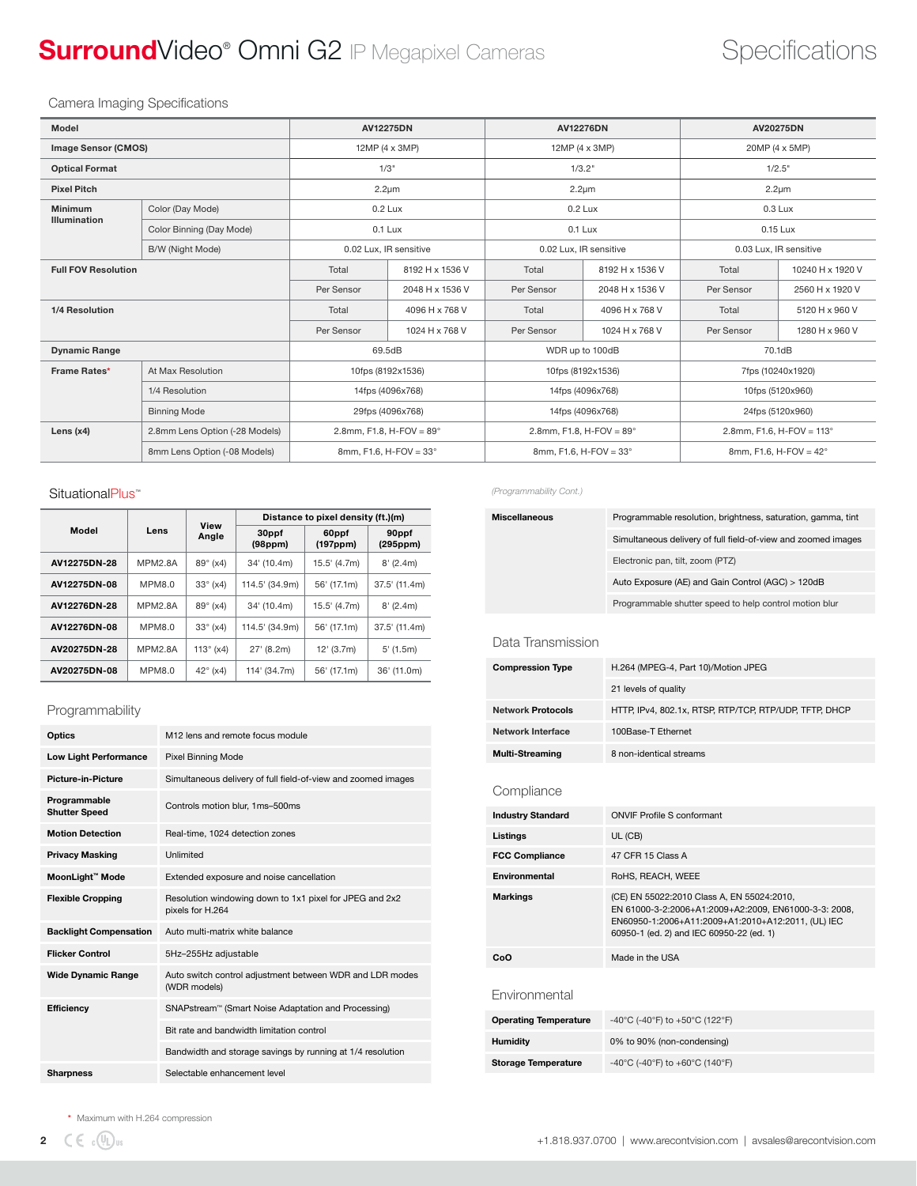## SurroundVideo® Omni G2 IP Megapixel Cameras Specifications

### Camera Imaging Specifications

| Model                                         |                          | <b>AV12275DN</b>                    |                 | <b>AV12276DN</b>                  |                 | <b>AV20275DN</b>                   |                  |
|-----------------------------------------------|--------------------------|-------------------------------------|-----------------|-----------------------------------|-----------------|------------------------------------|------------------|
| Image Sensor (CMOS)                           |                          | 12MP (4 x 3MP)                      |                 | 12MP (4 x 3MP)                    |                 | 20MP (4 x 5MP)                     |                  |
| <b>Optical Format</b>                         |                          | 1/3"                                |                 | 1/3.2"                            |                 | 1/2.5"                             |                  |
| <b>Pixel Pitch</b>                            |                          | $2.2 \mu m$                         |                 | $2.2 \mu m$                       |                 | $2.2 \mu m$                        |                  |
| <b>Minimum</b>                                | Color (Day Mode)         | $0.2$ Lux                           |                 | $0.2$ Lux                         |                 | $0.3$ Lux                          |                  |
| <b>Illumination</b>                           | Color Binning (Day Mode) | $0.1$ Lux                           |                 |                                   | 0.1 Lux         | 0.15 Lux                           |                  |
|                                               | B/W (Night Mode)         | 0.02 Lux, IR sensitive              |                 | 0.02 Lux, IR sensitive            |                 | 0.03 Lux, IR sensitive             |                  |
| <b>Full FOV Resolution</b>                    |                          | Total                               | 8192 H x 1536 V | Total                             | 8192 H x 1536 V | Total                              | 10240 H x 1920 V |
|                                               |                          | Per Sensor                          | 2048 H x 1536 V | Per Sensor                        | 2048 H x 1536 V | Per Sensor                         | 2560 H x 1920 V  |
| 1/4 Resolution                                |                          | Total                               | 4096 H x 768 V  | Total                             | 4096 H x 768 V  | Total                              | 5120 H x 960 V   |
|                                               |                          | Per Sensor                          | 1024 H x 768 V  | Per Sensor                        | 1024 H x 768 V  | Per Sensor                         | 1280 H x 960 V   |
| <b>Dynamic Range</b>                          |                          | 69.5dB                              |                 | WDR up to 100dB                   |                 | 70.1dB                             |                  |
| Frame Rates*<br>At Max Resolution             |                          | 10fps (8192x1536)                   |                 | 10fps (8192x1536)                 |                 | 7fps (10240x1920)                  |                  |
| 1/4 Resolution                                |                          | 14fps (4096x768)                    |                 | 14fps (4096x768)                  |                 | 10fps (5120x960)                   |                  |
| <b>Binning Mode</b>                           |                          | 29fps (4096x768)                    |                 | 14fps (4096x768)                  |                 | 24fps (5120x960)                   |                  |
| Lens $(x4)$<br>2.8mm Lens Option (-28 Models) |                          | 2.8mm, F1.8, H-FOV = $89^{\circ}$   |                 | 2.8mm, F1.8, H-FOV = $89^{\circ}$ |                 | 2.8mm, F1.6, H-FOV = $113^{\circ}$ |                  |
| 8mm Lens Option (-08 Models)                  |                          | $8$ mm, F1.6, H-FOV = 33 $^{\circ}$ |                 | 8mm, F1.6, H-FOV = $33^{\circ}$   |                 | 8mm, F1.6, H-FOV = $42^{\circ}$    |                  |
|                                               |                          |                                     |                 |                                   |                 |                                    |                  |

### SituationalPlus™

|              |                | <b>View</b>        | Distance to pixel density (ft.)(m) |                                |                   |  |
|--------------|----------------|--------------------|------------------------------------|--------------------------------|-------------------|--|
| Model        | Lens           | Angle              | 30ppf<br>(98 <sub>ppm</sub> )      | 60ppf<br>(197 <sub>ppm</sub> ) | 90ppf<br>(295ppm) |  |
| AV12275DN-28 | <b>MPM2.8A</b> | $89^{\circ}$ (x4)  | 34' (10.4m)                        | 15.5' (4.7m)                   | $8'$ (2.4m)       |  |
| AV12275DN-08 | <b>MPM8.0</b>  | $33^\circ$ (x4)    | 114.5' (34.9m)                     | 56' (17.1m)                    | 37.5' (11.4m)     |  |
| AV12276DN-28 | <b>MPM2.8A</b> | $89^{\circ}$ (x4)  | 34' (10.4m)                        | 15.5' (4.7m)                   | 8'(2.4m)          |  |
| AV12276DN-08 | <b>MPM8.0</b>  | $33^{\circ}$ (x4)  | 114.5' (34.9m)                     | 56' (17.1m)                    | 37.5' (11.4m)     |  |
| AV20275DN-28 | <b>MPM2.8A</b> | 113 $\degree$ (x4) | 27' (8.2m)                         | $12'$ (3.7m)                   | $5'$ (1.5m)       |  |
| AV20275DN-08 | <b>MPM8.0</b>  | $42^{\circ}$ (x4)  | 114' (34.7m)                       | 56' (17.1m)                    | 36' (11.0m)       |  |

### Programmability

| Optics                               | M12 lens and remote focus module                                            |  |  |
|--------------------------------------|-----------------------------------------------------------------------------|--|--|
| <b>Low Light Performance</b>         | Pixel Binning Mode                                                          |  |  |
| <b>Picture-in-Picture</b>            | Simultaneous delivery of full field-of-view and zoomed images               |  |  |
| Programmable<br><b>Shutter Speed</b> | Controls motion blur, 1ms-500ms                                             |  |  |
| <b>Motion Detection</b>              | Real-time, 1024 detection zones                                             |  |  |
| <b>Privacy Masking</b>               | Unlimited                                                                   |  |  |
| MoonLight™ Mode                      | Extended exposure and noise cancellation                                    |  |  |
| <b>Flexible Cropping</b>             | Resolution windowing down to 1x1 pixel for JPEG and 2x2<br>pixels for H.264 |  |  |
| <b>Backlight Compensation</b>        | Auto multi-matrix white balance                                             |  |  |
| <b>Flicker Control</b>               | 5Hz-255Hz adjustable                                                        |  |  |
| <b>Wide Dynamic Range</b>            | Auto switch control adjustment between WDR and LDR modes<br>(WDR models)    |  |  |
| Efficiency                           | SNAPstream™ (Smart Noise Adaptation and Processing)                         |  |  |
|                                      | Bit rate and bandwidth limitation control                                   |  |  |
|                                      | Bandwidth and storage savings by running at 1/4 resolution                  |  |  |
| <b>Sharpness</b>                     | Selectable enhancement level                                                |  |  |

*(Programmability Cont.)*

| <b>Miscellaneous</b> | Programmable resolution, brightness, saturation, gamma, tint  |
|----------------------|---------------------------------------------------------------|
|                      | Simultaneous delivery of full field-of-view and zoomed images |
|                      | Electronic pan, tilt, zoom (PTZ)                              |
|                      | Auto Exposure (AE) and Gain Control (AGC) > 120dB             |
|                      | Programmable shutter speed to help control motion blur        |

### Data Transmission

| <b>Compression Type</b>  | H.264 (MPEG-4, Part 10)/Motion JPEG                    |
|--------------------------|--------------------------------------------------------|
|                          | 21 levels of quality                                   |
| <b>Network Protocols</b> | HTTP, IPv4, 802.1x, RTSP, RTP/TCP, RTP/UDP, TFTP, DHCP |
| Network Interface        | 100Base-T Ethernet                                     |
| <b>Multi-Streaming</b>   | 8 non-identical streams                                |

### **Compliance**

| <b>Industry Standard</b>     | <b>ONVIF Profile S conformant</b>                                                                                                                                                                     |  |  |
|------------------------------|-------------------------------------------------------------------------------------------------------------------------------------------------------------------------------------------------------|--|--|
| Listings                     | UL (CB)                                                                                                                                                                                               |  |  |
| <b>FCC Compliance</b>        | 47 CFR 15 Class A                                                                                                                                                                                     |  |  |
| Environmental                | RoHS, REACH, WEEE                                                                                                                                                                                     |  |  |
| <b>Markings</b>              | (CE) EN 55022:2010 Class A, EN 55024:2010,<br>EN 61000-3-2:2006+A1:2009+A2:2009, EN61000-3-3: 2008,<br>EN60950-1:2006+A11:2009+A1:2010+A12:2011, (UL) IEC<br>60950-1 (ed. 2) and IEC 60950-22 (ed. 1) |  |  |
| CoO                          | Made in the USA                                                                                                                                                                                       |  |  |
| Environmental                |                                                                                                                                                                                                       |  |  |
| <b>Operating Temperature</b> | -40°C (-40°F) to +50°C (122°F)                                                                                                                                                                        |  |  |
| <b>Humidity</b>              | 0% to 90% (non-condensing)                                                                                                                                                                            |  |  |
| <b>Storage Temperature</b>   | -40°C (-40°F) to +60°C (140°F)                                                                                                                                                                        |  |  |
|                              |                                                                                                                                                                                                       |  |  |

\* Maximum with H.264 compression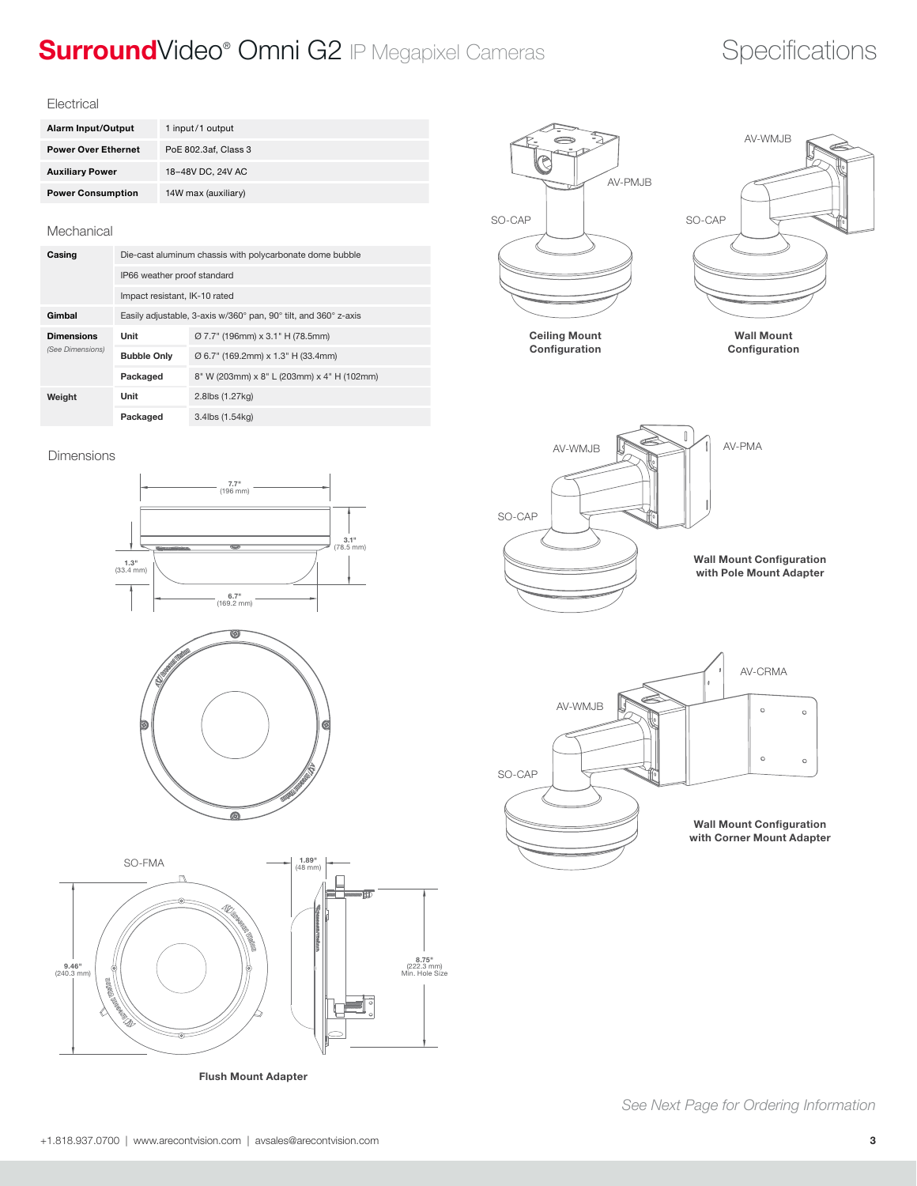## SurroundVideo® Omni G2 IP Megapixel Cameras Specifications

### **Electrical**

| Alarm Input/Output         | 1 input/1 output     |
|----------------------------|----------------------|
| <b>Power Over Ethernet</b> | PoE 802.3af, Class 3 |
| <b>Auxiliary Power</b>     | 18-48V DC, 24V AC    |
| <b>Power Consumption</b>   | 14W max (auxiliary)  |

### Mechanical

| Casing                                | Die-cast aluminum chassis with polycarbonate dome bubble        |                                            |  |  |
|---------------------------------------|-----------------------------------------------------------------|--------------------------------------------|--|--|
|                                       | IP66 weather proof standard                                     |                                            |  |  |
|                                       | Impact resistant, IK-10 rated                                   |                                            |  |  |
| Gimbal                                | Easily adjustable, 3-axis w/360° pan, 90° tilt, and 360° z-axis |                                            |  |  |
| <b>Dimensions</b><br>(See Dimensions) | Unit                                                            | Ø 7.7" (196mm) x 3.1" H (78.5mm)           |  |  |
|                                       | <b>Bubble Only</b>                                              | Ø 6.7" (169.2mm) x 1.3" H (33.4mm)         |  |  |
|                                       | Packaged                                                        | 8" W (203mm) x 8" L (203mm) x 4" H (102mm) |  |  |
| Weight                                | Unit                                                            | 2.8lbs (1.27kg)                            |  |  |
|                                       | Packaged                                                        | 3.4lbs (1.54kg)                            |  |  |



Ceiling Mount **Configuration** 

Wall Mount Configuration

AV-WMJB











Flush Mount Adapter

 *See Next Page for Ordering Information*